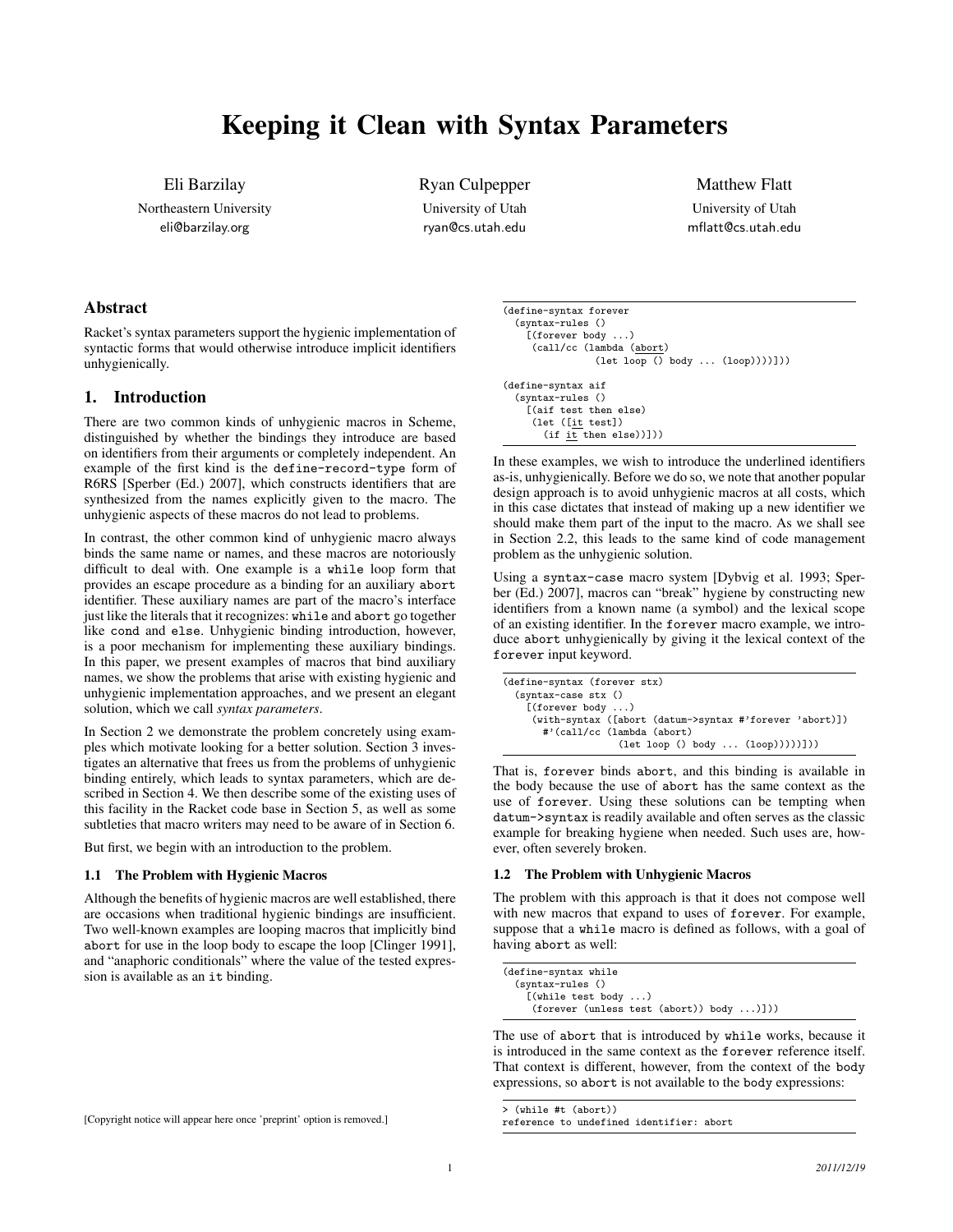# Keeping it Clean with Syntax Parameters

Eli Barzilay

Northeastern University eli@barzilay.org

Ryan Culpepper University of Utah ryan@cs.utah.edu

Matthew Flatt University of Utah mflatt@cs.utah.edu

# Abstract

Racket's syntax parameters support the hygienic implementation of syntactic forms that would otherwise introduce implicit identifiers unhygienically.

# 1. Introduction

There are two common kinds of unhygienic macros in Scheme, distinguished by whether the bindings they introduce are based on identifiers from their arguments or completely independent. An example of the first kind is the define-record-type form of R6RS [Sperber (Ed.) 2007], which constructs identifiers that are synthesized from the names explicitly given to the macro. The unhygienic aspects of these macros do not lead to problems.

In contrast, the other common kind of unhygienic macro always binds the same name or names, and these macros are notoriously difficult to deal with. One example is a while loop form that provides an escape procedure as a binding for an auxiliary abort identifier. These auxiliary names are part of the macro's interface just like the literals that it recognizes: while and abort go together like cond and else. Unhygienic binding introduction, however, is a poor mechanism for implementing these auxiliary bindings. In this paper, we present examples of macros that bind auxiliary names, we show the problems that arise with existing hygienic and unhygienic implementation approaches, and we present an elegant solution, which we call *syntax parameters*.

In Section 2 we demonstrate the problem concretely using examples which motivate looking for a better solution. Section 3 investigates an alternative that frees us from the problems of unhygienic binding entirely, which leads to syntax parameters, which are described in Section 4. We then describe some of the existing uses of this facility in the Racket code base in Section 5, as well as some subtleties that macro writers may need to be aware of in Section 6.

But first, we begin with an introduction to the problem.

#### 1.1 The Problem with Hygienic Macros

Although the benefits of hygienic macros are well established, there are occasions when traditional hygienic bindings are insufficient. Two well-known examples are looping macros that implicitly bind abort for use in the loop body to escape the loop [Clinger 1991], and "anaphoric conditionals" where the value of the tested expression is available as an it binding.

```
(define-syntax forever
  (syntax-rules ()
    [(forever body
     (call/cc (lambda (abort)
                 (let loop () body ... (loop))))]))
(define-syntax aif
  (syntax-rules ()
    [(aif test then else)
     (let ([it test])
       (if <u>it</u> then else))))
```
In these examples, we wish to introduce the underlined identifiers as-is, unhygienically. Before we do so, we note that another popular design approach is to avoid unhygienic macros at all costs, which in this case dictates that instead of making up a new identifier we should make them part of the input to the macro. As we shall see in Section 2.2, this leads to the same kind of code management problem as the unhygienic solution.

Using a syntax-case macro system [Dybvig et al. 1993; Sperber (Ed.) 2007], macros can "break" hygiene by constructing new identifiers from a known name (a symbol) and the lexical scope of an existing identifier. In the forever macro example, we introduce abort unhygienically by giving it the lexical context of the forever input keyword.

```
(define-syntax (forever stx)
 (syntax-case stx ()
    [(forever body ...)
    (with-syntax ([abort (datum->syntax #'forever 'abort)])
      #'(call/cc (lambda (abort)
                    (let loop () body ... (loop)))))]))
```
That is, forever binds abort, and this binding is available in the body because the use of abort has the same context as the use of forever. Using these solutions can be tempting when datum->syntax is readily available and often serves as the classic example for breaking hygiene when needed. Such uses are, however, often severely broken.

#### 1.2 The Problem with Unhygienic Macros

The problem with this approach is that it does not compose well with new macros that expand to uses of forever. For example, suppose that a while macro is defined as follows, with a goal of having abort as well:

(define-syntax while (syntax-rules () [(while test body ...) (forever (unless test (abort)) body ...)]))

The use of abort that is introduced by while works, because it is introduced in the same context as the forever reference itself. That context is different, however, from the context of the body expressions, so abort is not available to the body expressions:

> (while #t (abort)) reference to undefined identifier: abort

[Copyright notice will appear here once 'preprint' option is removed.]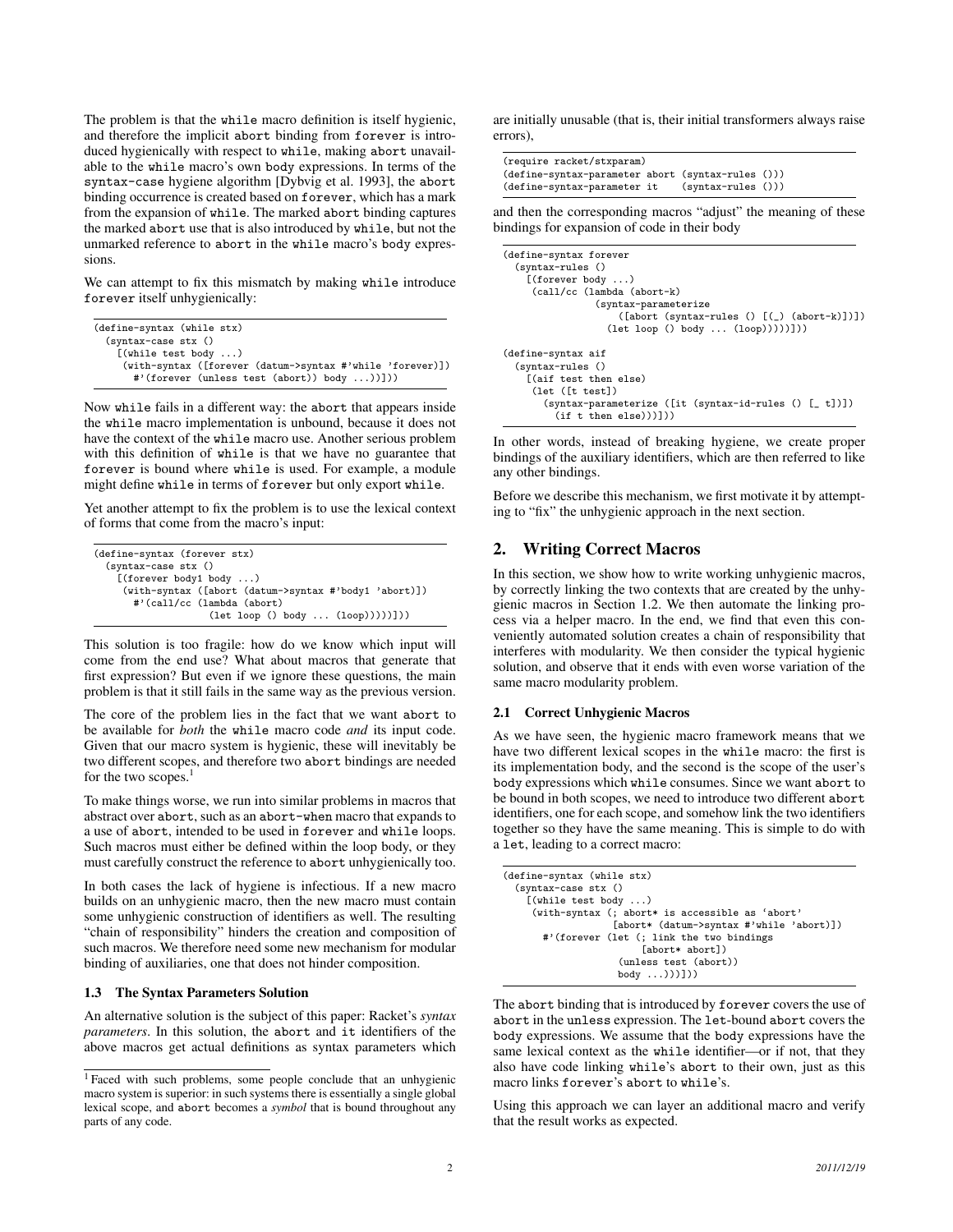The problem is that the while macro definition is itself hygienic, and therefore the implicit abort binding from forever is introduced hygienically with respect to while, making abort unavailable to the while macro's own body expressions. In terms of the syntax-case hygiene algorithm [Dybvig et al. 1993], the abort binding occurrence is created based on forever, which has a mark from the expansion of while. The marked abort binding captures the marked abort use that is also introduced by while, but not the unmarked reference to abort in the while macro's body expressions.

We can attempt to fix this mismatch by making while introduce forever itself unhygienically:

| (define-syntax (while stx)                                |  |
|-----------------------------------------------------------|--|
| $(syntax-case stx()$                                      |  |
| $[$ (while test body )                                    |  |
| (with-syntax ([forever (datum->syntax #'while 'forever)]) |  |
| #'(forever (unless test (abort)) body ))]))               |  |
|                                                           |  |

Now while fails in a different way: the abort that appears inside the while macro implementation is unbound, because it does not have the context of the while macro use. Another serious problem with this definition of while is that we have no guarantee that forever is bound where while is used. For example, a module might define while in terms of forever but only export while.

Yet another attempt to fix the problem is to use the lexical context of forms that come from the macro's input:

| (define-syntax (forever stx)                          |
|-------------------------------------------------------|
| $(syntax-case stx()$                                  |
| $[$ (forever body1 body )                             |
| (with-syntax ([abort (datum->syntax #'body1 'abort)]) |
| #'(call/cc (lambda (abort)                            |
| (left loop() body  (loop))))                          |

This solution is too fragile: how do we know which input will come from the end use? What about macros that generate that first expression? But even if we ignore these questions, the main problem is that it still fails in the same way as the previous version.

The core of the problem lies in the fact that we want abort to be available for *both* the while macro code *and* its input code. Given that our macro system is hygienic, these will inevitably be two different scopes, and therefore two abort bindings are needed for the two scopes.<sup>1</sup>

To make things worse, we run into similar problems in macros that abstract over abort, such as an abort-when macro that expands to a use of abort, intended to be used in forever and while loops. Such macros must either be defined within the loop body, or they must carefully construct the reference to abort unhygienically too.

In both cases the lack of hygiene is infectious. If a new macro builds on an unhygienic macro, then the new macro must contain some unhygienic construction of identifiers as well. The resulting "chain of responsibility" hinders the creation and composition of such macros. We therefore need some new mechanism for modular binding of auxiliaries, one that does not hinder composition.

#### 1.3 The Syntax Parameters Solution

An alternative solution is the subject of this paper: Racket's *syntax parameters*. In this solution, the abort and it identifiers of the above macros get actual definitions as syntax parameters which are initially unusable (that is, their initial transformers always raise errors),

```
(require racket/stxparam)
(define-syntax-parameter abort (syntax-rules ()))<br>(define-syntax-parameter it (syntax-rules ()))
(define-syntax-parameter it
```
and then the corresponding macros "adjust" the meaning of these bindings for expansion of code in their body

```
(define-syntax forever
  (syntax-rules ()
    [(forever body ...)
     (call/cc (lambda (abort-k)
                (syntax-parameterize
                    ([abort (syntax-rules () [(_) (abort-k)])])
                  (let loop () body ... (loop)))))]))
(define-syntax aif
 (syntax-rules ()
    [(aif test then else)
     (let ([t test])
       (syntax-parameterize ([it (syntax-id-rules () [_ t])])
         (if t then else))])])
```
In other words, instead of breaking hygiene, we create proper bindings of the auxiliary identifiers, which are then referred to like any other bindings.

Before we describe this mechanism, we first motivate it by attempting to "fix" the unhygienic approach in the next section.

#### 2. Writing Correct Macros

In this section, we show how to write working unhygienic macros, by correctly linking the two contexts that are created by the unhygienic macros in Section 1.2. We then automate the linking process via a helper macro. In the end, we find that even this conveniently automated solution creates a chain of responsibility that interferes with modularity. We then consider the typical hygienic solution, and observe that it ends with even worse variation of the same macro modularity problem.

#### 2.1 Correct Unhygienic Macros

As we have seen, the hygienic macro framework means that we have two different lexical scopes in the while macro: the first is its implementation body, and the second is the scope of the user's body expressions which while consumes. Since we want abort to be bound in both scopes, we need to introduce two different abort identifiers, one for each scope, and somehow link the two identifiers together so they have the same meaning. This is simple to do with a let, leading to a correct macro:

| (define-syntax (while stx)                      |
|-------------------------------------------------|
| $(syntax-case stx()$                            |
| $[$ (while test body )                          |
| (with-syntax (; abort* is accessible as 'abort' |
| [abort* (datum->syntax #'while 'abort)])        |
| #'(forever (let (; link the two bindings        |
| [abort* abort])                                 |
| (unless test (abort))                           |
| $body$ $))$ ])                                  |
|                                                 |

The abort binding that is introduced by forever covers the use of abort in the unless expression. The let-bound abort covers the body expressions. We assume that the body expressions have the same lexical context as the while identifier—or if not, that they also have code linking while's abort to their own, just as this macro links forever's abort to while's.

Using this approach we can layer an additional macro and verify that the result works as expected.

<sup>&</sup>lt;sup>1</sup> Faced with such problems, some people conclude that an unhygienic macro system is superior: in such systems there is essentially a single global lexical scope, and abort becomes a *symbol* that is bound throughout any parts of any code.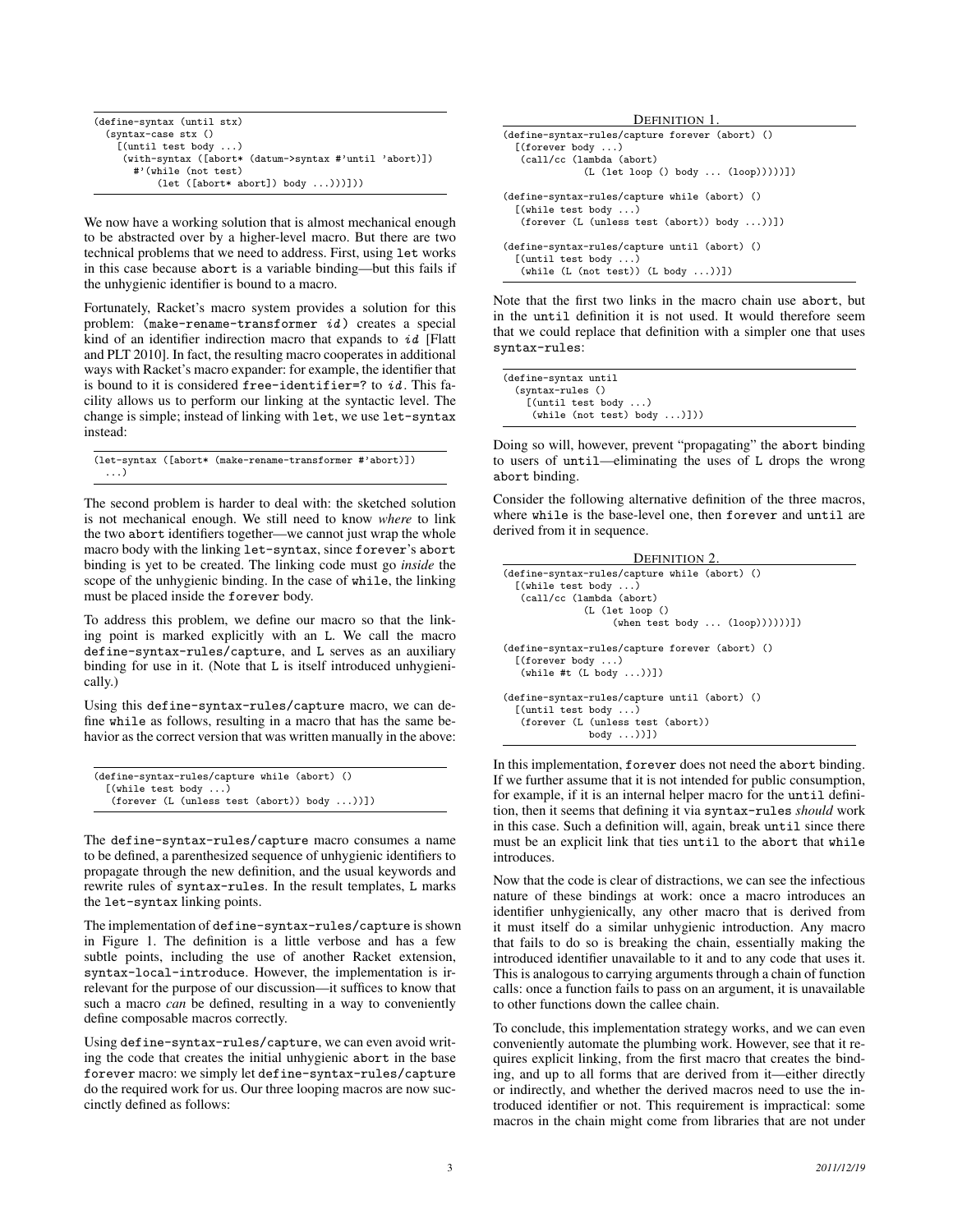| (define-syntax (until stx)                             |  |
|--------------------------------------------------------|--|
| $(syntax-case stx()$                                   |  |
| $[$ (until test body )                                 |  |
| (with-syntax ([abort* (datum->syntax #'until 'abort)]) |  |
| #'(while (not test)                                    |  |
| $(left ([abort* abort]) body ))])$                     |  |

We now have a working solution that is almost mechanical enough to be abstracted over by a higher-level macro. But there are two technical problems that we need to address. First, using let works in this case because abort is a variable binding—but this fails if the unhygienic identifier is bound to a macro.

Fortunately, Racket's macro system provides a solution for this problem: (make-rename-transformer id) creates a special kind of an identifier indirection macro that expands to  $id$  [Flatt and PLT 2010]. In fact, the resulting macro cooperates in additional ways with Racket's macro expander: for example, the identifier that is bound to it is considered free-identifier=? to  $id$ . This facility allows us to perform our linking at the syntactic level. The change is simple; instead of linking with let, we use let-syntax instead:

(let-syntax ([abort\* (make-rename-transformer #'abort)]) ...)

The second problem is harder to deal with: the sketched solution is not mechanical enough. We still need to know *where* to link the two abort identifiers together—we cannot just wrap the whole macro body with the linking let-syntax, since forever's abort binding is yet to be created. The linking code must go *inside* the scope of the unhygienic binding. In the case of while, the linking must be placed inside the forever body.

To address this problem, we define our macro so that the linking point is marked explicitly with an L. We call the macro define-syntax-rules/capture, and L serves as an auxiliary binding for use in it. (Note that L is itself introduced unhygienically.)

Using this define-syntax-rules/capture macro, we can define while as follows, resulting in a macro that has the same behavior as the correct version that was written manually in the above:

```
(define-syntax-rules/capture while (abort) ()
  [(while test body ...)
   (forever (L (unless test (abort)) body ...))])
```
The define-syntax-rules/capture macro consumes a name to be defined, a parenthesized sequence of unhygienic identifiers to propagate through the new definition, and the usual keywords and rewrite rules of syntax-rules. In the result templates, L marks the let-syntax linking points.

The implementation of define-syntax-rules/capture is shown in Figure 1. The definition is a little verbose and has a few subtle points, including the use of another Racket extension, syntax-local-introduce. However, the implementation is irrelevant for the purpose of our discussion—it suffices to know that such a macro *can* be defined, resulting in a way to conveniently define composable macros correctly.

Using define-syntax-rules/capture, we can even avoid writing the code that creates the initial unhygienic abort in the base forever macro: we simply let define-syntax-rules/capture do the required work for us. Our three looping macros are now succinctly defined as follows:

```
DEFINITION 1.
(define-syntax-rules/capture forever (abort) ()
  [(forever body ...)
   (call/cc (lambda (abort)
              (L (let loop () body ... (loop)))))])
(define-syntax-rules/capture while (abort) ()
  [(while test body ...)
   (forever (L (unless test (abort)) body ...))])
(define-syntax-rules/capture until (abort) ()
  [(until test body ...)
   (while (L (not test)) (L body ...))])
```
Note that the first two links in the macro chain use abort, but in the until definition it is not used. It would therefore seem that we could replace that definition with a simpler one that uses syntax-rules:

| (define-syntax until                                              |  |
|-------------------------------------------------------------------|--|
| (syntax-rules ()                                                  |  |
| $[$ (until test body )                                            |  |
| $(\text{while } (\text{not } \text{test}) \text{ body } \dots)])$ |  |

Doing so will, however, prevent "propagating" the abort binding to users of until—eliminating the uses of L drops the wrong abort binding.

Consider the following alternative definition of the three macros, where while is the base-level one, then forever and until are derived from it in sequence.

| DEFINITION 2.                                                                                                                                                                 |
|-------------------------------------------------------------------------------------------------------------------------------------------------------------------------------|
| (define-syntax-rules/capture while (abort) ()<br>$[$ (while test body )<br>(call/cc (lambda (abort)<br>$(L$ (let loop $()$<br>$(\text{when test body} \dots (\text{loop}))))$ |
| (define-syntax-rules/capture forever (abort) ()<br>$[$ (forever body )<br>$(\text{while } #t (L body ))])$                                                                    |
| (define-syntax-rules/capture until (abort) ()<br>$[$ (until test body )<br>(forever (L (unless test (abort))<br>$body$ $))$ ])                                                |

In this implementation, forever does not need the abort binding. If we further assume that it is not intended for public consumption, for example, if it is an internal helper macro for the until definition, then it seems that defining it via syntax-rules *should* work in this case. Such a definition will, again, break until since there must be an explicit link that ties until to the abort that while introduces.

Now that the code is clear of distractions, we can see the infectious nature of these bindings at work: once a macro introduces an identifier unhygienically, any other macro that is derived from it must itself do a similar unhygienic introduction. Any macro that fails to do so is breaking the chain, essentially making the introduced identifier unavailable to it and to any code that uses it. This is analogous to carrying arguments through a chain of function calls: once a function fails to pass on an argument, it is unavailable to other functions down the callee chain.

To conclude, this implementation strategy works, and we can even conveniently automate the plumbing work. However, see that it requires explicit linking, from the first macro that creates the binding, and up to all forms that are derived from it—either directly or indirectly, and whether the derived macros need to use the introduced identifier or not. This requirement is impractical: some macros in the chain might come from libraries that are not under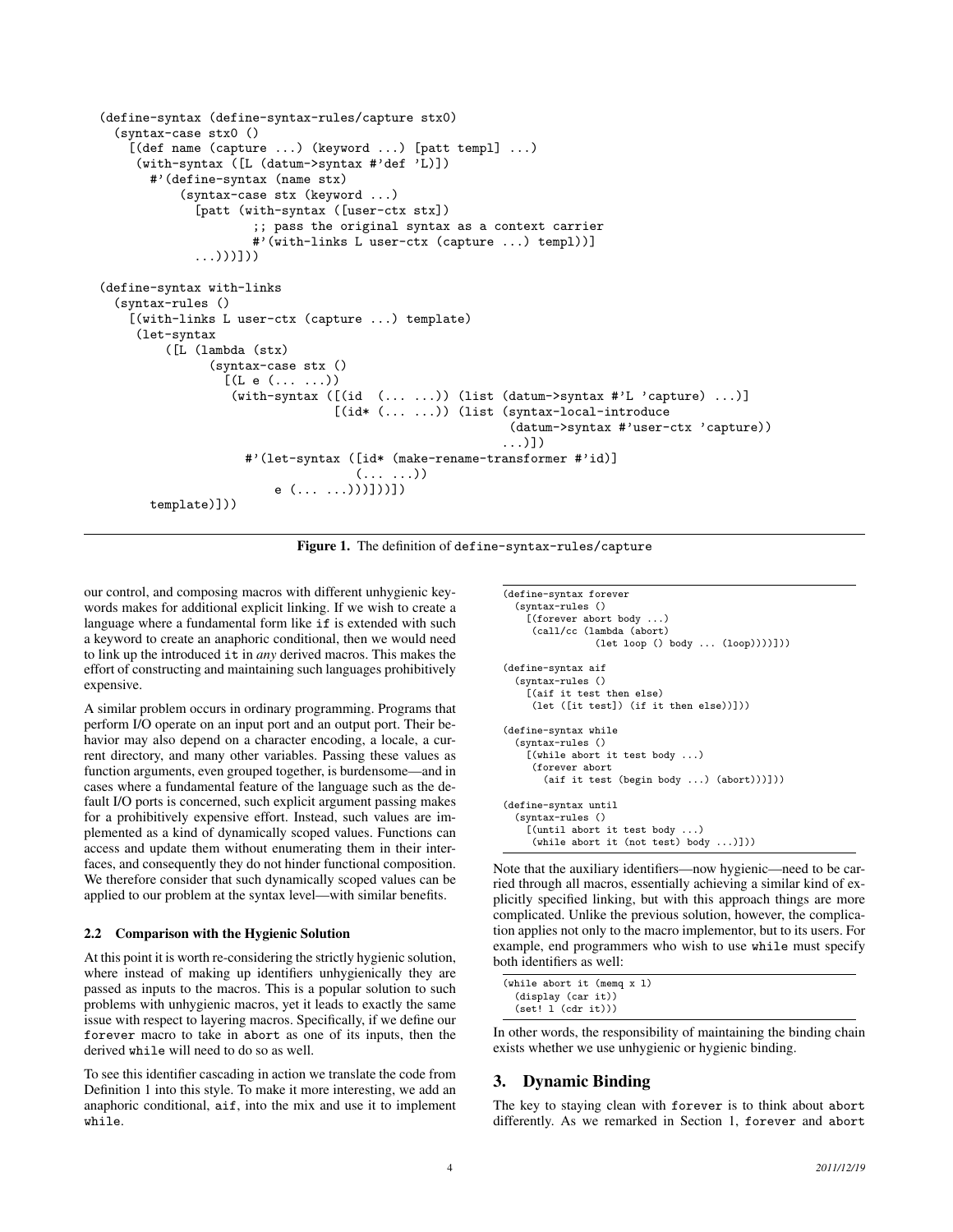```
(define-syntax (define-syntax-rules/capture stx0)
  (syntax-case stx0 ()
    [(def name (capture ...) (keyword ...) [patt templ] ...)
     (with-syntax ([L (datum->syntax #'def 'L)])
       #'(define-syntax (name stx)
           (syntax-case stx (keyword ...)
             [patt (with-syntax ([user-ctx stx])
                      ;; pass the original syntax as a context carrier
                     #'(with-links L user-ctx (capture ...) templ))]
             ...)))]))
(define-syntax with-links
  (syntax-rules ()
    [(with-links L user-ctx (capture ...) template)
     (let-syntax
         ([L (lambda (stx)
               (syntax-case stx ()
                 [(L \in ( \ldots \ldots ) )](with-syntax ([(id (... ...)) (list (datum->syntax #'L 'capture) ...)]
                                 [(id* (... ...)) (list (syntax-local-introduce
                                                          (datum->syntax #'user-ctx 'capture))
                                                          ...)])
                    #'(let-syntax ([id* (make-rename-transformer #'id)]
                                    ( \ldots \ldots )e (... ...)))]))])
       template)]))
```
Figure 1. The definition of define-syntax-rules/capture

our control, and composing macros with different unhygienic keywords makes for additional explicit linking. If we wish to create a language where a fundamental form like if is extended with such a keyword to create an anaphoric conditional, then we would need to link up the introduced it in *any* derived macros. This makes the effort of constructing and maintaining such languages prohibitively expensive.

A similar problem occurs in ordinary programming. Programs that perform I/O operate on an input port and an output port. Their behavior may also depend on a character encoding, a locale, a current directory, and many other variables. Passing these values as function arguments, even grouped together, is burdensome—and in cases where a fundamental feature of the language such as the default I/O ports is concerned, such explicit argument passing makes for a prohibitively expensive effort. Instead, such values are implemented as a kind of dynamically scoped values. Functions can access and update them without enumerating them in their interfaces, and consequently they do not hinder functional composition. We therefore consider that such dynamically scoped values can be applied to our problem at the syntax level—with similar benefits.

#### 2.2 Comparison with the Hygienic Solution

At this point it is worth re-considering the strictly hygienic solution, where instead of making up identifiers unhygienically they are passed as inputs to the macros. This is a popular solution to such problems with unhygienic macros, yet it leads to exactly the same issue with respect to layering macros. Specifically, if we define our forever macro to take in abort as one of its inputs, then the derived while will need to do so as well.

To see this identifier cascading in action we translate the code from Definition 1 into this style. To make it more interesting, we add an anaphoric conditional, aif, into the mix and use it to implement while.

```
(define-syntax forever
  (syntax-rules ()
    [(forever abort body ...)
     (call/cc (lambda (abort)
                (let loop () body ... (loop))))]))
(define-syntax aif
  (syntax-rules ()
    [(aif it test then else)
     (let ([it test]) (if it then else))]))
(define-syntax while
  (syntax-rules ()
    [(while abort it test body ...)
     (forever abort
       (aif it test (begin body ...) (abort)))]))
(define-syntax until
  (syntax-rules ()
    [(until abort it test body ...)
     (while abort it (not test) body ...)]))
```
Note that the auxiliary identifiers—now hygienic—need to be carried through all macros, essentially achieving a similar kind of explicitly specified linking, but with this approach things are more complicated. Unlike the previous solution, however, the complication applies not only to the macro implementor, but to its users. For example, end programmers who wish to use while must specify both identifiers as well:

```
(while abort it (memq x l)
 (display (car it))
 (set! 1 (cdr it)))
```
In other words, the responsibility of maintaining the binding chain exists whether we use unhygienic or hygienic binding.

# 3. Dynamic Binding

The key to staying clean with forever is to think about abort differently. As we remarked in Section 1, forever and abort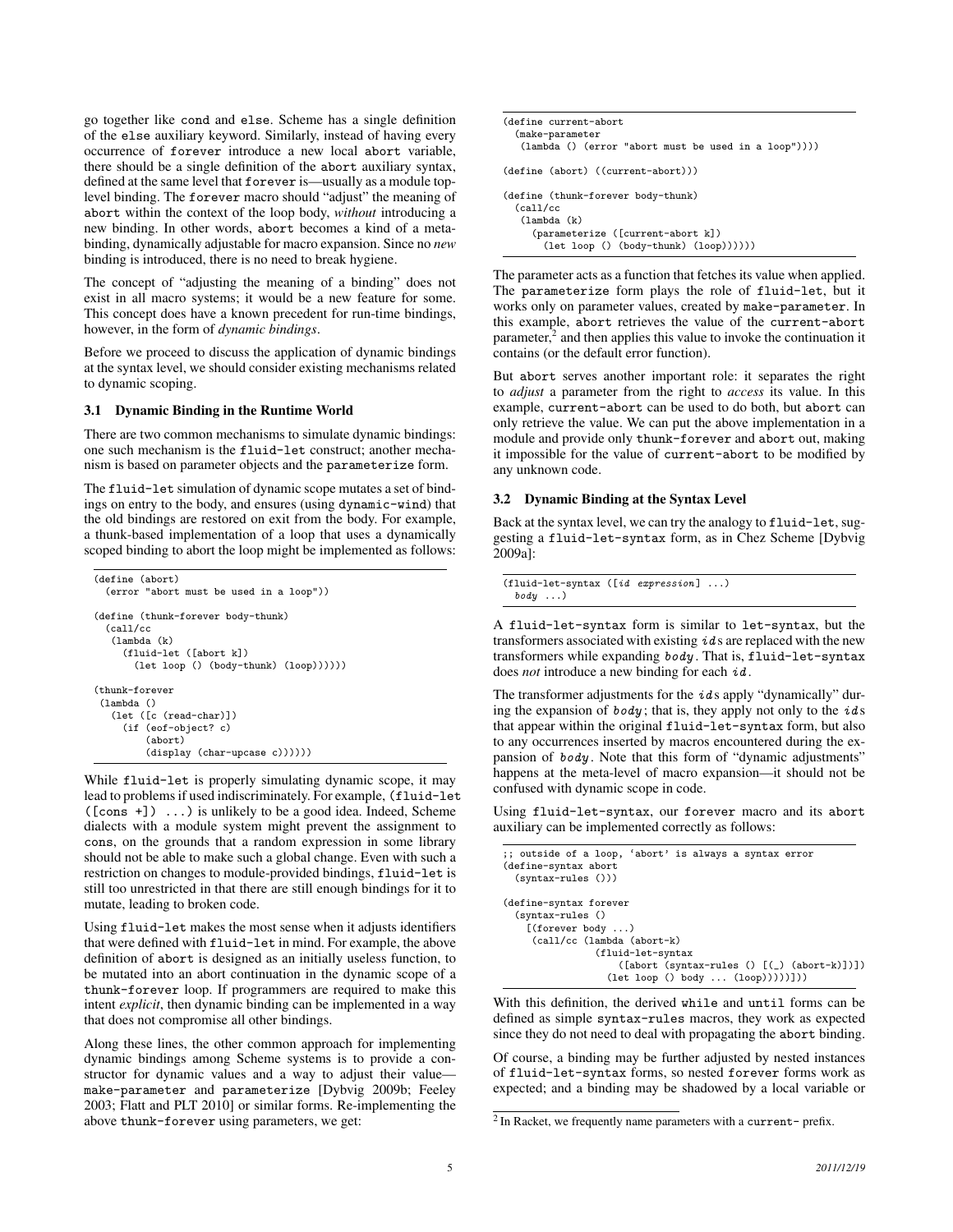go together like cond and else. Scheme has a single definition of the else auxiliary keyword. Similarly, instead of having every occurrence of forever introduce a new local abort variable, there should be a single definition of the abort auxiliary syntax, defined at the same level that forever is—usually as a module toplevel binding. The forever macro should "adjust" the meaning of abort within the context of the loop body, *without* introducing a new binding. In other words, abort becomes a kind of a metabinding, dynamically adjustable for macro expansion. Since no *new* binding is introduced, there is no need to break hygiene.

The concept of "adjusting the meaning of a binding" does not exist in all macro systems; it would be a new feature for some. This concept does have a known precedent for run-time bindings, however, in the form of *dynamic bindings*.

Before we proceed to discuss the application of dynamic bindings at the syntax level, we should consider existing mechanisms related to dynamic scoping.

#### 3.1 Dynamic Binding in the Runtime World

There are two common mechanisms to simulate dynamic bindings: one such mechanism is the fluid-let construct; another mechanism is based on parameter objects and the parameterize form.

The fluid-let simulation of dynamic scope mutates a set of bindings on entry to the body, and ensures (using dynamic-wind) that the old bindings are restored on exit from the body. For example, a thunk-based implementation of a loop that uses a dynamically scoped binding to abort the loop might be implemented as follows:

```
(define (abort)
  (error "abort must be used in a loop"))
(define (thunk-forever body-thunk)
  (call/cc
   (lambda (k)
     (fluid-let ([abort k])
       (let loop () (body-thunk) (loop))))))
(thunk-forever
 (lambda ()
   (let ([c (read-char)])
     (if (eof-object? c)
         (abort)
         (display (char-upcase c))))))
```
While fluid-let is properly simulating dynamic scope, it may lead to problems if used indiscriminately. For example, (fluid-let ([cons +]) ...) is unlikely to be a good idea. Indeed, Scheme dialects with a module system might prevent the assignment to cons, on the grounds that a random expression in some library should not be able to make such a global change. Even with such a restriction on changes to module-provided bindings, fluid-let is still too unrestricted in that there are still enough bindings for it to mutate, leading to broken code.

Using fluid-let makes the most sense when it adjusts identifiers that were defined with fluid-let in mind. For example, the above definition of abort is designed as an initially useless function, to be mutated into an abort continuation in the dynamic scope of a thunk-forever loop. If programmers are required to make this intent *explicit*, then dynamic binding can be implemented in a way that does not compromise all other bindings.

Along these lines, the other common approach for implementing dynamic bindings among Scheme systems is to provide a constructor for dynamic values and a way to adjust their value make-parameter and parameterize [Dybvig 2009b; Feeley 2003; Flatt and PLT 2010] or similar forms. Re-implementing the above thunk-forever using parameters, we get:

```
(define current-abort
  (make-parameter
   (lambda () (error "abort must be used in a loop"))))
(define (abort) ((current-abort)))
(define (thunk-forever body-thunk)
  (call/cc
   (lambda (k)
     (parameterize ([current-abort k])
       (let loop () (body-thunk) (loop))))))
```
The parameter acts as a function that fetches its value when applied. The parameterize form plays the role of fluid-let, but it works only on parameter values, created by make-parameter. In this example, abort retrieves the value of the current-abort parameter, $\frac{2}{3}$  and then applies this value to invoke the continuation it contains (or the default error function).

But abort serves another important role: it separates the right to *adjust* a parameter from the right to *access* its value. In this example, current-abort can be used to do both, but abort can only retrieve the value. We can put the above implementation in a module and provide only thunk-forever and abort out, making it impossible for the value of current-abort to be modified by any unknown code.

#### 3.2 Dynamic Binding at the Syntax Level

Back at the syntax level, we can try the analogy to fluid-let, suggesting a fluid-let-syntax form, as in Chez Scheme [Dybvig 2009a]:

```
(fluid-let-syntax ([id expression] ...)body \dots)
```
A fluid-let-syntax form is similar to let-syntax, but the transformers associated with existing  $ids$  are replaced with the new transformers while expanding body . That is, fluid-let-syntax does *not* introduce a new binding for each id .

The transformer adjustments for the  $i$ ds apply "dynamically" during the expansion of  $body$ ; that is, they apply not only to the  $ids$ that appear within the original fluid-let-syntax form, but also to any occurrences inserted by macros encountered during the expansion of body . Note that this form of "dynamic adjustments" happens at the meta-level of macro expansion—it should not be confused with dynamic scope in code.

Using fluid-let-syntax, our forever macro and its abort auxiliary can be implemented correctly as follows:

```
outside of a loop, 'abort' is always a syntax error
(define-syntax abort
 (syntax-rules ()))
(define-syntax forever
 (syntax-rules ()
   [(forever body ...)
    (call/cc (lambda (abort-k)
                (fluid-let-syntax
                    ([abort (syntax-rules () [(_) (abort-k)])])
                  (let loop () body ... (loop)))))]))
```
With this definition, the derived while and until forms can be defined as simple syntax-rules macros, they work as expected since they do not need to deal with propagating the abort binding.

Of course, a binding may be further adjusted by nested instances of fluid-let-syntax forms, so nested forever forms work as expected; and a binding may be shadowed by a local variable or

<sup>&</sup>lt;sup>2</sup> In Racket, we frequently name parameters with a current-prefix.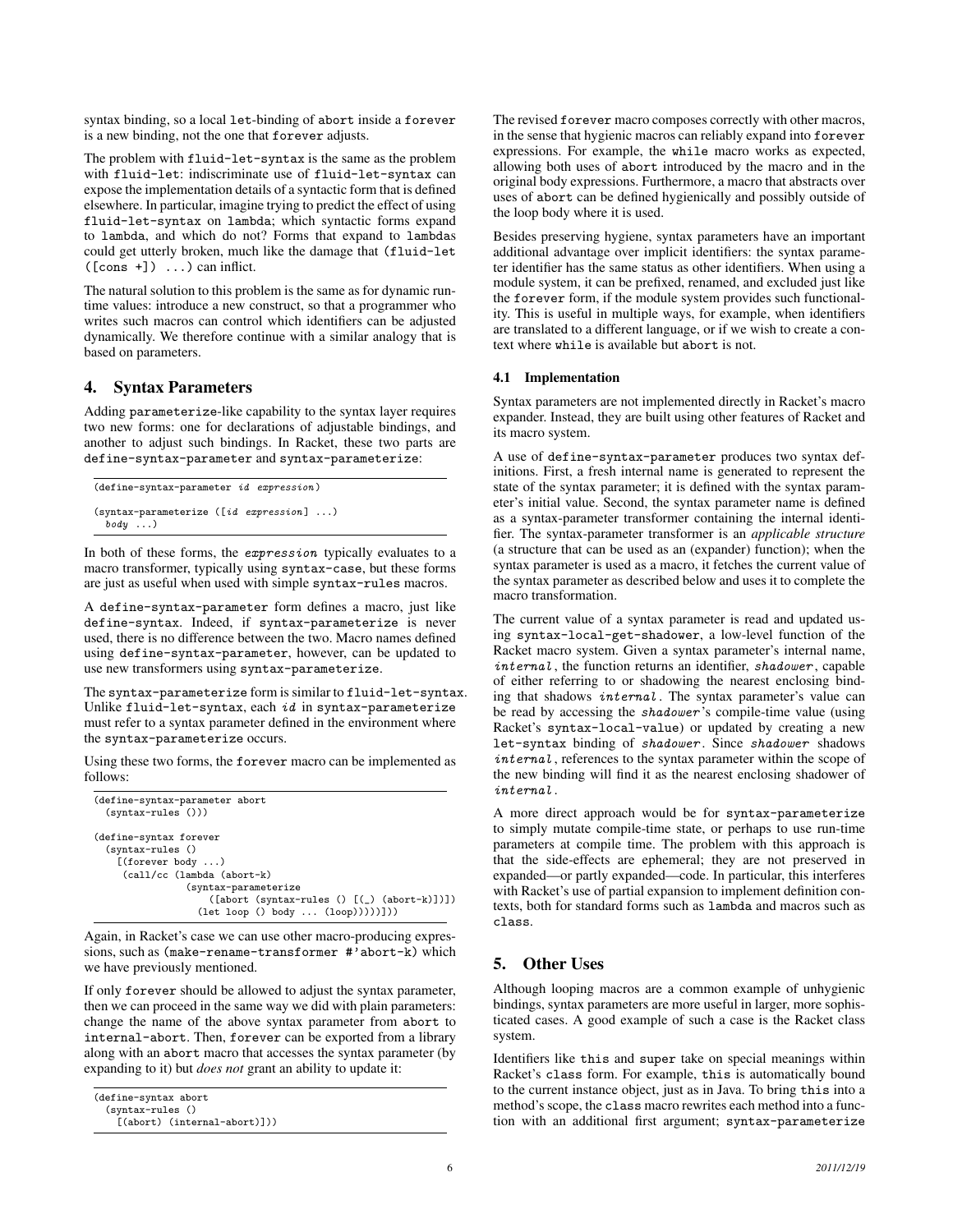syntax binding, so a local let-binding of abort inside a forever is a new binding, not the one that forever adjusts.

The problem with fluid-let-syntax is the same as the problem with fluid-let: indiscriminate use of fluid-let-syntax can expose the implementation details of a syntactic form that is defined elsewhere. In particular, imagine trying to predict the effect of using fluid-let-syntax on lambda; which syntactic forms expand to lambda, and which do not? Forms that expand to lambdas could get utterly broken, much like the damage that (fluid-let  $(\text{cons } +] )$  ...) can inflict.

The natural solution to this problem is the same as for dynamic runtime values: introduce a new construct, so that a programmer who writes such macros can control which identifiers can be adjusted dynamically. We therefore continue with a similar analogy that is based on parameters.

# 4. Syntax Parameters

Adding parameterize-like capability to the syntax layer requires two new forms: one for declarations of adjustable bindings, and another to adjust such bindings. In Racket, these two parts are define-syntax-parameter and syntax-parameterize:

```
(define-syntax-parameter id expression )
(syntax-parameterize ([id expression] ...)body \dots)
```
In both of these forms, the expression typically evaluates to a macro transformer, typically using syntax-case, but these forms are just as useful when used with simple syntax-rules macros.

A define-syntax-parameter form defines a macro, just like define-syntax. Indeed, if syntax-parameterize is never used, there is no difference between the two. Macro names defined using define-syntax-parameter, however, can be updated to use new transformers using syntax-parameterize.

The syntax-parameterize form is similar to fluid-let-syntax. Unlike fluid-let-syntax, each id in syntax-parameterize must refer to a syntax parameter defined in the environment where the syntax-parameterize occurs.

Using these two forms, the forever macro can be implemented as follows:

```
(define-syntax-parameter abort
  (syntax-rules ()))
(define-syntax forever
  (syntax-rules ()
    [(forever body ...)
     (call/cc (lambda (abort-k)
                (syntax-parameterize
                    ([abort (syntax-rules () [(_) (abort-k)])])
                  (let loop () body ... (loop)))))]))
```
Again, in Racket's case we can use other macro-producing expressions, such as (make-rename-transformer #'abort-k) which we have previously mentioned.

If only forever should be allowed to adjust the syntax parameter, then we can proceed in the same way we did with plain parameters: change the name of the above syntax parameter from abort to internal-abort. Then, forever can be exported from a library along with an abort macro that accesses the syntax parameter (by expanding to it) but *does not* grant an ability to update it:

| (define-syntax abort)        |  |
|------------------------------|--|
| (syntax-rules ()             |  |
| $((abort) (internal-abort))$ |  |

The revised forever macro composes correctly with other macros, in the sense that hygienic macros can reliably expand into forever expressions. For example, the while macro works as expected, allowing both uses of abort introduced by the macro and in the original body expressions. Furthermore, a macro that abstracts over uses of abort can be defined hygienically and possibly outside of the loop body where it is used.

Besides preserving hygiene, syntax parameters have an important additional advantage over implicit identifiers: the syntax parameter identifier has the same status as other identifiers. When using a module system, it can be prefixed, renamed, and excluded just like the forever form, if the module system provides such functionality. This is useful in multiple ways, for example, when identifiers are translated to a different language, or if we wish to create a context where while is available but abort is not.

#### 4.1 Implementation

Syntax parameters are not implemented directly in Racket's macro expander. Instead, they are built using other features of Racket and its macro system.

A use of define-syntax-parameter produces two syntax definitions. First, a fresh internal name is generated to represent the state of the syntax parameter; it is defined with the syntax parameter's initial value. Second, the syntax parameter name is defined as a syntax-parameter transformer containing the internal identifier. The syntax-parameter transformer is an *applicable structure* (a structure that can be used as an (expander) function); when the syntax parameter is used as a macro, it fetches the current value of the syntax parameter as described below and uses it to complete the macro transformation.

The current value of a syntax parameter is read and updated using syntax-local-get-shadower, a low-level function of the Racket macro system. Given a syntax parameter's internal name, internal , the function returns an identifier, shadower , capable of either referring to or shadowing the nearest enclosing binding that shadows internal . The syntax parameter's value can be read by accessing the *shadower*'s compile-time value (using Racket's syntax-local-value) or updated by creating a new let-syntax binding of shadower . Since shadower shadows internal , references to the syntax parameter within the scope of the new binding will find it as the nearest enclosing shadower of internal .

A more direct approach would be for syntax-parameterize to simply mutate compile-time state, or perhaps to use run-time parameters at compile time. The problem with this approach is that the side-effects are ephemeral; they are not preserved in expanded—or partly expanded—code. In particular, this interferes with Racket's use of partial expansion to implement definition contexts, both for standard forms such as lambda and macros such as class.

# 5. Other Uses

Although looping macros are a common example of unhygienic bindings, syntax parameters are more useful in larger, more sophisticated cases. A good example of such a case is the Racket class system.

Identifiers like this and super take on special meanings within Racket's class form. For example, this is automatically bound to the current instance object, just as in Java. To bring this into a method's scope, the class macro rewrites each method into a function with an additional first argument; syntax-parameterize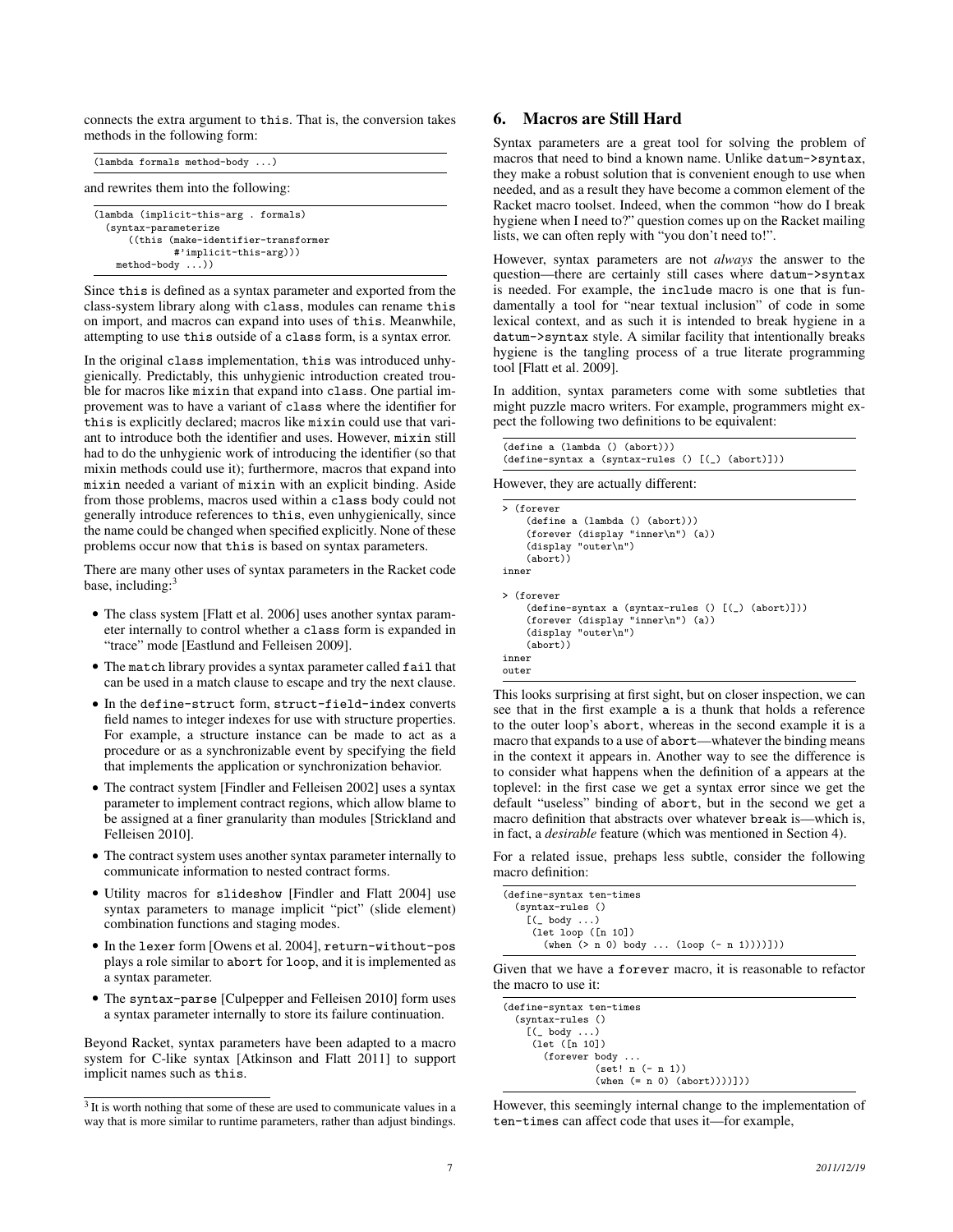connects the extra argument to this. That is, the conversion takes methods in the following form:

and rewrites them into the following:

```
(lambda (implicit-this-arg . formals)
  (syntax-parameterize
      ((this (make-identifier-transformer
               #'implicit-this-arg)))
    \mathtt{method-body} ...))
```
Since this is defined as a syntax parameter and exported from the class-system library along with class, modules can rename this on import, and macros can expand into uses of this. Meanwhile, attempting to use this outside of a class form, is a syntax error.

In the original class implementation, this was introduced unhygienically. Predictably, this unhygienic introduction created trouble for macros like mixin that expand into class. One partial improvement was to have a variant of class where the identifier for this is explicitly declared; macros like mixin could use that variant to introduce both the identifier and uses. However, mixin still had to do the unhygienic work of introducing the identifier (so that mixin methods could use it); furthermore, macros that expand into mixin needed a variant of mixin with an explicit binding. Aside from those problems, macros used within a class body could not generally introduce references to this, even unhygienically, since the name could be changed when specified explicitly. None of these problems occur now that this is based on syntax parameters.

There are many other uses of syntax parameters in the Racket code base, including: $3$ 

- The class system [Flatt et al. 2006] uses another syntax parameter internally to control whether a class form is expanded in "trace" mode [Eastlund and Felleisen 2009].
- The match library provides a syntax parameter called fail that can be used in a match clause to escape and try the next clause.
- In the define-struct form, struct-field-index converts field names to integer indexes for use with structure properties. For example, a structure instance can be made to act as a procedure or as a synchronizable event by specifying the field that implements the application or synchronization behavior.
- The contract system [Findler and Felleisen 2002] uses a syntax parameter to implement contract regions, which allow blame to be assigned at a finer granularity than modules [Strickland and Felleisen 2010].
- The contract system uses another syntax parameter internally to communicate information to nested contract forms.
- Utility macros for slideshow [Findler and Flatt 2004] use syntax parameters to manage implicit "pict" (slide element) combination functions and staging modes.
- In the lexer form [Owens et al. 2004], return-without-pos plays a role similar to abort for loop, and it is implemented as a syntax parameter.
- The syntax-parse [Culpepper and Felleisen 2010] form uses a syntax parameter internally to store its failure continuation.

Beyond Racket, syntax parameters have been adapted to a macro system for C-like syntax [Atkinson and Flatt 2011] to support implicit names such as this.

# 6. Macros are Still Hard

Syntax parameters are a great tool for solving the problem of macros that need to bind a known name. Unlike datum->syntax, they make a robust solution that is convenient enough to use when needed, and as a result they have become a common element of the Racket macro toolset. Indeed, when the common "how do I break hygiene when I need to?" question comes up on the Racket mailing lists, we can often reply with "you don't need to!".

However, syntax parameters are not *always* the answer to the question—there are certainly still cases where datum->syntax is needed. For example, the include macro is one that is fundamentally a tool for "near textual inclusion" of code in some lexical context, and as such it is intended to break hygiene in a datum->syntax style. A similar facility that intentionally breaks hygiene is the tangling process of a true literate programming tool [Flatt et al. 2009].

In addition, syntax parameters come with some subtleties that might puzzle macro writers. For example, programmers might expect the following two definitions to be equivalent:

| (define a (lambda () (abort)))<br>$(define-syntax a (syntax-rules () [(-) (abort)]))$ |  |  |  |  |
|---------------------------------------------------------------------------------------|--|--|--|--|
| However, they are actually different:                                                 |  |  |  |  |
| > (forever                                                                            |  |  |  |  |

```
(define a (lambda () (abort)))
    (forever (display "inner\n") (a))
    (display "outer\n")
    (abort))
inner
> (forever
    (define-syntax a (syntax-rules () [(_) (abort)]))
    (forever (display "inner\n") (a))
    (display "outer\n'')(abort))
inner
outer
```
This looks surprising at first sight, but on closer inspection, we can see that in the first example a is a thunk that holds a reference to the outer loop's abort, whereas in the second example it is a macro that expands to a use of abort—whatever the binding means in the context it appears in. Another way to see the difference is to consider what happens when the definition of a appears at the toplevel: in the first case we get a syntax error since we get the default "useless" binding of abort, but in the second we get a macro definition that abstracts over whatever break is—which is, in fact, a *desirable* feature (which was mentioned in Section 4).

For a related issue, prehaps less subtle, consider the following macro definition:

| (define-syntax ten-times                                              |  |
|-----------------------------------------------------------------------|--|
| (syntax-rules ()                                                      |  |
| $[$ ( body $\ldots$ )                                                 |  |
| (left loop ([n 10])                                                   |  |
| $(\text{when } (\ge n 0) \text{ body } \dots (\text{loop } (-n 1))))$ |  |
|                                                                       |  |

Given that we have a forever macro, it is reasonable to refactor the macro to use it:

```
(define-syntax ten-times
  (syntax-rules ()
     [(\quad \text{body} \dots)(let ([n 10])
          (forever body ...
                        (set! n (- n 1))
                        (\mathtt{when}\ (\mathtt{=}\ \mathtt{n}\ \mathtt{0})\ \mathtt{(abort))})\texttt{)}
```
However, this seemingly internal change to the implementation of ten-times can affect code that uses it—for example,

 $3$  It is worth nothing that some of these are used to communicate values in a way that is more similar to runtime parameters, rather than adjust bindings.